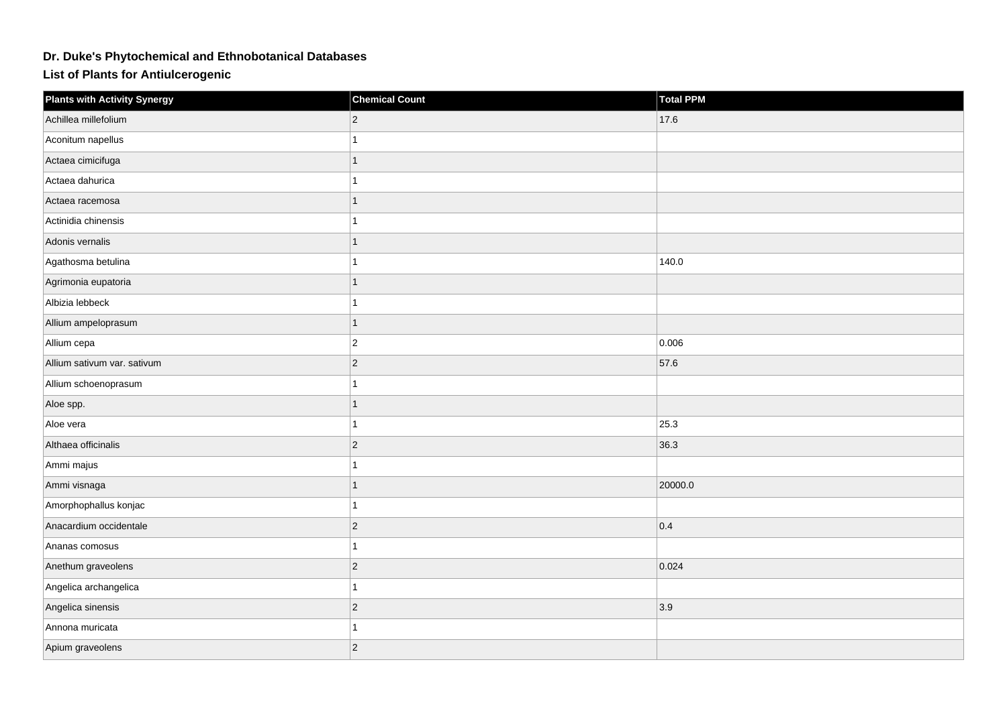## **Dr. Duke's Phytochemical and Ethnobotanical Databases**

**List of Plants for Antiulcerogenic**

| <b>Plants with Activity Synergy</b> | <b>Chemical Count</b> | <b>Total PPM</b> |
|-------------------------------------|-----------------------|------------------|
| Achillea millefolium                | $ 2\rangle$           | 17.6             |
| Aconitum napellus                   |                       |                  |
| Actaea cimicifuga                   | 1                     |                  |
| Actaea dahurica                     |                       |                  |
| Actaea racemosa                     | 1                     |                  |
| Actinidia chinensis                 |                       |                  |
| Adonis vernalis                     |                       |                  |
| Agathosma betulina                  |                       | 140.0            |
| Agrimonia eupatoria                 | $\mathbf{1}$          |                  |
| Albizia lebbeck                     |                       |                  |
| Allium ampeloprasum                 | 1                     |                  |
| Allium cepa                         | $ 2\rangle$           | 0.006            |
| Allium sativum var. sativum         | $ 2\rangle$           | 57.6             |
| Allium schoenoprasum                |                       |                  |
| Aloe spp.                           | 1                     |                  |
| Aloe vera                           | 1                     | 25.3             |
| Althaea officinalis                 | $ 2\rangle$           | 36.3             |
| Ammi majus                          |                       |                  |
| Ammi visnaga                        |                       | 20000.0          |
| Amorphophallus konjac               |                       |                  |
| Anacardium occidentale              | $ 2\rangle$           | 0.4              |
| Ananas comosus                      | 1                     |                  |
| Anethum graveolens                  | $ 2\rangle$           | 0.024            |
| Angelica archangelica               |                       |                  |
| Angelica sinensis                   | $ 2\rangle$           | 3.9              |
| Annona muricata                     |                       |                  |
| Apium graveolens                    | $ 2\rangle$           |                  |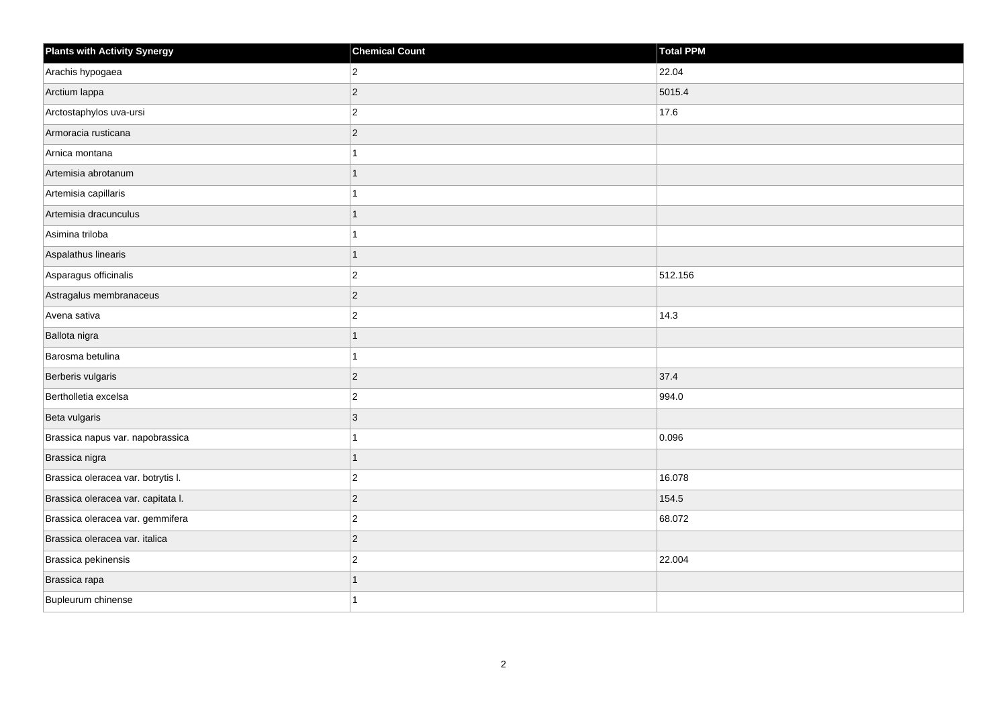| <b>Plants with Activity Synergy</b> | <b>Chemical Count</b> | <b>Total PPM</b> |
|-------------------------------------|-----------------------|------------------|
| Arachis hypogaea                    | $\overline{2}$        | 22.04            |
| Arctium lappa                       | $ 2\rangle$           | 5015.4           |
| Arctostaphylos uva-ursi             | $ 2\rangle$           | 17.6             |
| Armoracia rusticana                 | $ 2\rangle$           |                  |
| Arnica montana                      | 1                     |                  |
| Artemisia abrotanum                 | $\overline{1}$        |                  |
| Artemisia capillaris                | 1                     |                  |
| Artemisia dracunculus               | 1                     |                  |
| Asimina triloba                     | 1                     |                  |
| Aspalathus linearis                 | $\overline{1}$        |                  |
| Asparagus officinalis               | $ 2\rangle$           | 512.156          |
| Astragalus membranaceus             | $ 2\rangle$           |                  |
| Avena sativa                        | $\vert$ 2             | 14.3             |
| Ballota nigra                       | $\overline{1}$        |                  |
| Barosma betulina                    | $\mathbf{1}$          |                  |
| Berberis vulgaris                   | $ 2\rangle$           | 37.4             |
| Bertholletia excelsa                | $\overline{2}$        | 994.0            |
| Beta vulgaris                       | 3                     |                  |
| Brassica napus var. napobrassica    | $\mathbf{1}$          | 0.096            |
| Brassica nigra                      | $\mathbf{1}$          |                  |
| Brassica oleracea var. botrytis I.  | $\vert$ 2             | 16.078           |
| Brassica oleracea var. capitata I.  | $ 2\rangle$           | 154.5            |
| Brassica oleracea var. gemmifera    | $ 2\rangle$           | 68.072           |
| Brassica oleracea var. italica      | $ 2\rangle$           |                  |
| Brassica pekinensis                 | $ 2\rangle$           | 22.004           |
| Brassica rapa                       | 1                     |                  |
| Bupleurum chinense                  | 1                     |                  |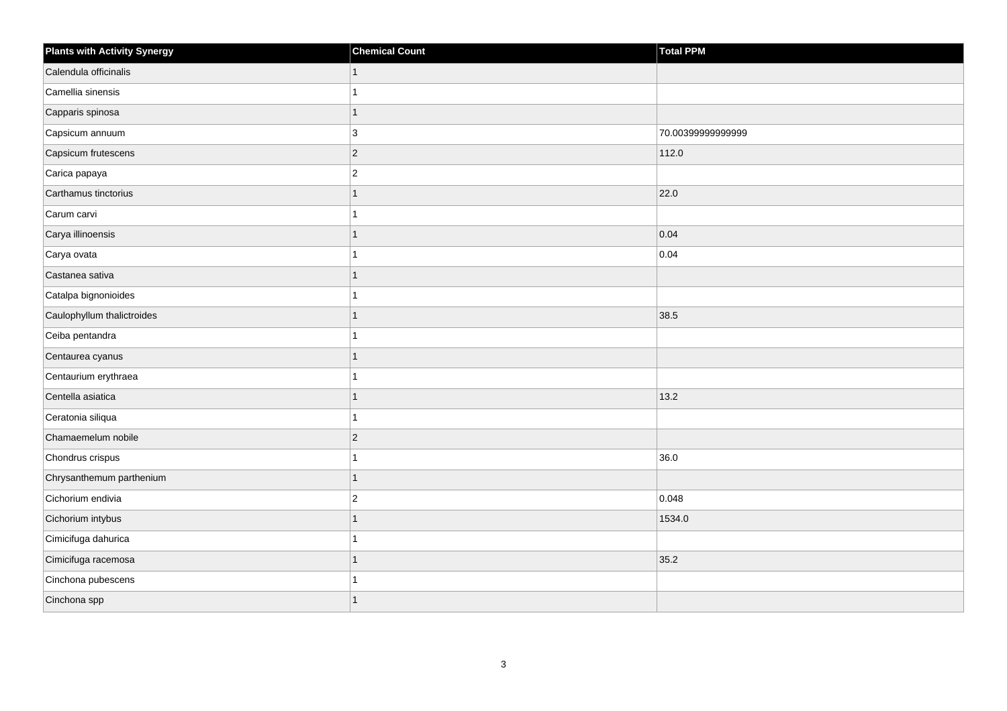| <b>Plants with Activity Synergy</b> | <b>Chemical Count</b> | <b>Total PPM</b>  |
|-------------------------------------|-----------------------|-------------------|
| Calendula officinalis               |                       |                   |
| Camellia sinensis                   |                       |                   |
| Capparis spinosa                    | 1                     |                   |
| Capsicum annuum                     | 3                     | 70.00399999999999 |
| Capsicum frutescens                 | $\overline{2}$        | 112.0             |
| Carica papaya                       | $\overline{2}$        |                   |
| Carthamus tinctorius                |                       | 22.0              |
| Carum carvi                         |                       |                   |
| Carya illinoensis                   |                       | 0.04              |
| Carya ovata                         |                       | 0.04              |
| Castanea sativa                     |                       |                   |
| Catalpa bignonioides                |                       |                   |
| Caulophyllum thalictroides          | 1                     | 38.5              |
| Ceiba pentandra                     |                       |                   |
| Centaurea cyanus                    |                       |                   |
| Centaurium erythraea                |                       |                   |
| Centella asiatica                   |                       | 13.2              |
| Ceratonia siliqua                   |                       |                   |
| Chamaemelum nobile                  | $\overline{2}$        |                   |
| Chondrus crispus                    |                       | 36.0              |
| Chrysanthemum parthenium            |                       |                   |
| Cichorium endivia                   | $\overline{2}$        | 0.048             |
| Cichorium intybus                   |                       | 1534.0            |
| Cimicifuga dahurica                 |                       |                   |
| Cimicifuga racemosa                 | 1                     | 35.2              |
| Cinchona pubescens                  |                       |                   |
| Cinchona spp                        |                       |                   |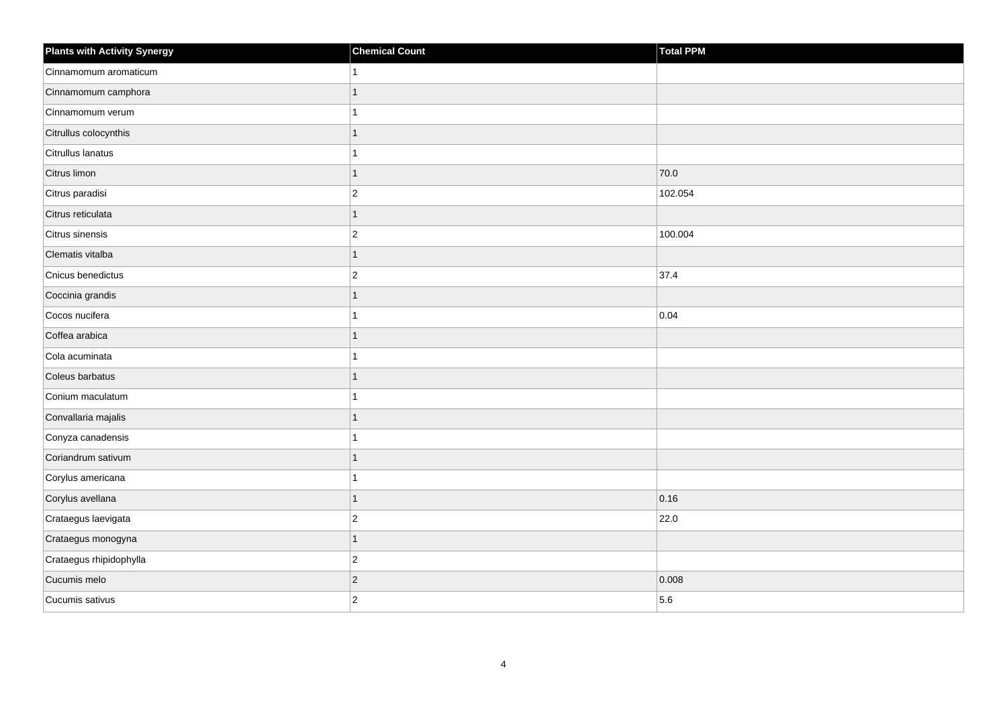| <b>Plants with Activity Synergy</b> | <b>Chemical Count</b> | Total PPM |
|-------------------------------------|-----------------------|-----------|
| Cinnamomum aromaticum               |                       |           |
| Cinnamomum camphora                 | 1                     |           |
| Cinnamomum verum                    |                       |           |
| Citrullus colocynthis               | 1                     |           |
| Citrullus lanatus                   |                       |           |
| Citrus limon                        | 1                     | 70.0      |
| Citrus paradisi                     | $\overline{a}$        | 102.054   |
| Citrus reticulata                   | 1                     |           |
| Citrus sinensis                     | $\overline{2}$        | 100.004   |
| Clematis vitalba                    | $\overline{1}$        |           |
| Cnicus benedictus                   | $\overline{2}$        | 37.4      |
| Coccinia grandis                    |                       |           |
| Cocos nucifera                      | 1                     | 0.04      |
| Coffea arabica                      | 1                     |           |
| Cola acuminata                      |                       |           |
| Coleus barbatus                     | 1                     |           |
| Conium maculatum                    |                       |           |
| Convallaria majalis                 |                       |           |
| Conyza canadensis                   | 4                     |           |
| Coriandrum sativum                  | 1                     |           |
| Corylus americana                   |                       |           |
| Corylus avellana                    | 1                     | 0.16      |
| Crataegus laevigata                 | $\overline{2}$        | 22.0      |
| Crataegus monogyna                  | 1                     |           |
| Crataegus rhipidophylla             | $\overline{c}$        |           |
| Cucumis melo                        | $\overline{c}$        | 0.008     |
| Cucumis sativus                     | $\overline{2}$        | 5.6       |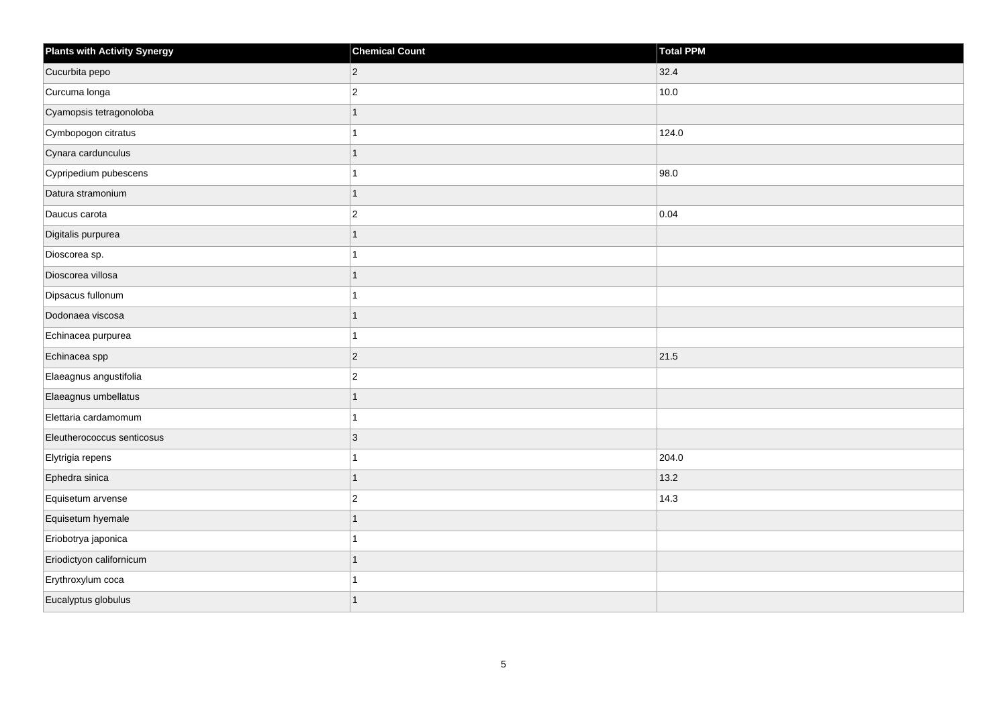| <b>Plants with Activity Synergy</b> | <b>Chemical Count</b> | Total PPM |
|-------------------------------------|-----------------------|-----------|
| Cucurbita pepo                      | $\overline{2}$        | 32.4      |
| Curcuma longa                       | $\overline{c}$        | 10.0      |
| Cyamopsis tetragonoloba             |                       |           |
| Cymbopogon citratus                 |                       | 124.0     |
| Cynara cardunculus                  | 1                     |           |
| Cypripedium pubescens               |                       | 98.0      |
| Datura stramonium                   | 1                     |           |
| Daucus carota                       | $\overline{c}$        | 0.04      |
| Digitalis purpurea                  |                       |           |
| Dioscorea sp.                       |                       |           |
| Dioscorea villosa                   |                       |           |
| Dipsacus fullonum                   |                       |           |
| Dodonaea viscosa                    | 1                     |           |
| Echinacea purpurea                  |                       |           |
| Echinacea spp                       | $\vert$ 2             | 21.5      |
| Elaeagnus angustifolia              | $\overline{2}$        |           |
| Elaeagnus umbellatus                |                       |           |
| Elettaria cardamomum                |                       |           |
| Eleutherococcus senticosus          | 3                     |           |
| Elytrigia repens                    |                       | 204.0     |
| Ephedra sinica                      | 1                     | 13.2      |
| Equisetum arvense                   | $\overline{2}$        | 14.3      |
| Equisetum hyemale                   |                       |           |
| Eriobotrya japonica                 |                       |           |
| Eriodictyon californicum            | 1                     |           |
| Erythroxylum coca                   |                       |           |
| Eucalyptus globulus                 | 1                     |           |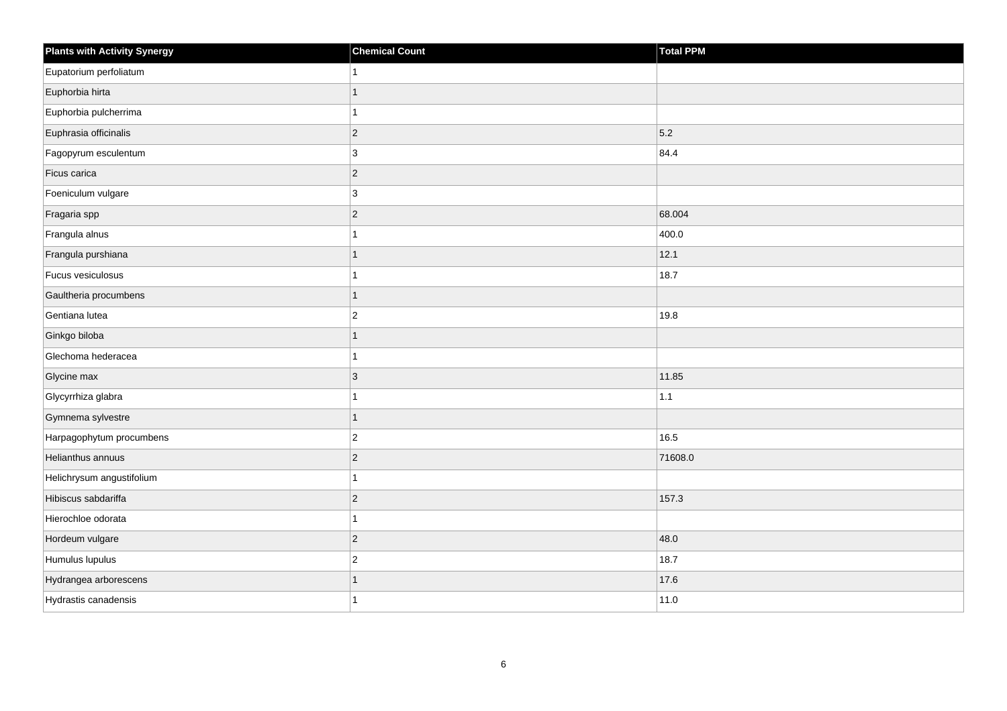| <b>Plants with Activity Synergy</b> | <b>Chemical Count</b> | Total PPM |
|-------------------------------------|-----------------------|-----------|
| Eupatorium perfoliatum              |                       |           |
| Euphorbia hirta                     | 1                     |           |
| Euphorbia pulcherrima               | 1                     |           |
| Euphrasia officinalis               | $ 2\rangle$           | 5.2       |
| Fagopyrum esculentum                | 3                     | 84.4      |
| Ficus carica                        | $\vert$ 2             |           |
| Foeniculum vulgare                  | $ 3\rangle$           |           |
| Fragaria spp                        | $ 2\rangle$           | 68.004    |
| Frangula alnus                      | 1                     | 400.0     |
| Frangula purshiana                  | 1                     | 12.1      |
| Fucus vesiculosus                   | 1                     | 18.7      |
| Gaultheria procumbens               | 1                     |           |
| Gentiana lutea                      | $\vert$ 2             | 19.8      |
| Ginkgo biloba                       | 1                     |           |
| Glechoma hederacea                  | 1                     |           |
| Glycine max                         | 3                     | 11.85     |
| Glycyrrhiza glabra                  | 1                     | $1.1$     |
| Gymnema sylvestre                   | $\mathbf{1}$          |           |
| Harpagophytum procumbens            | $ 2\rangle$           | 16.5      |
| Helianthus annuus                   | $\overline{c}$        | 71608.0   |
| Helichrysum angustifolium           | 1                     |           |
| Hibiscus sabdariffa                 | $\vert$ 2             | 157.3     |
| Hierochloe odorata                  | 1                     |           |
| Hordeum vulgare                     | $ 2\rangle$           | 48.0      |
| Humulus lupulus                     | $ 2\rangle$           | 18.7      |
| Hydrangea arborescens               | 1                     | 17.6      |
| Hydrastis canadensis                | 1                     | 11.0      |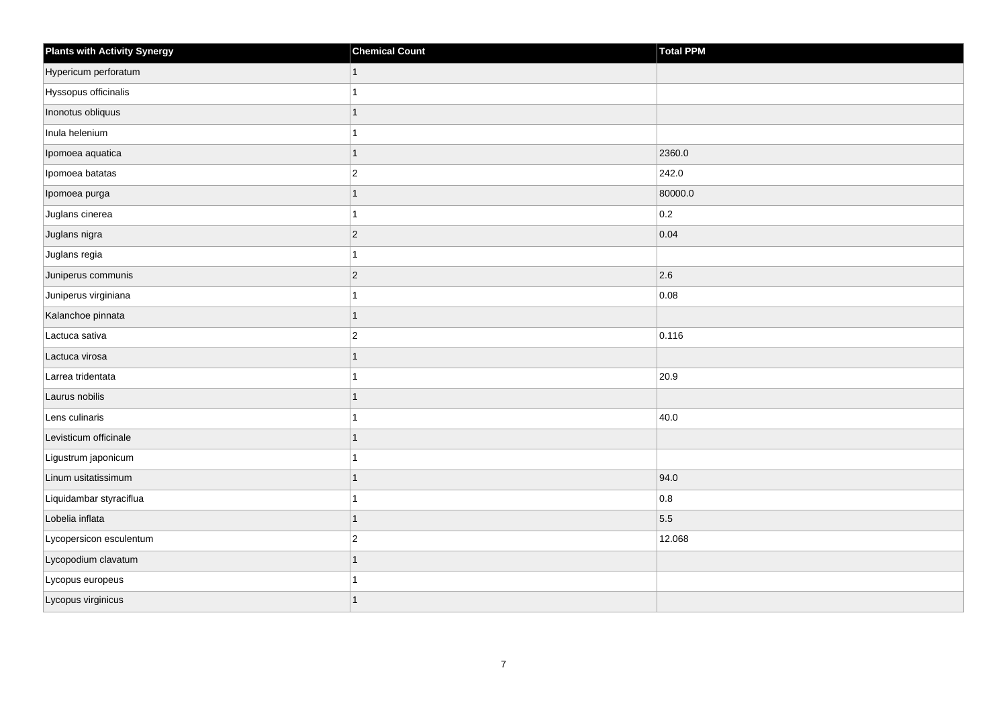| <b>Plants with Activity Synergy</b> | <b>Chemical Count</b> | Total PPM |
|-------------------------------------|-----------------------|-----------|
| Hypericum perforatum                |                       |           |
| Hyssopus officinalis                |                       |           |
| Inonotus obliquus                   |                       |           |
| Inula helenium                      |                       |           |
| Ipomoea aquatica                    |                       | 2360.0    |
| Ipomoea batatas                     | $\overline{c}$        | 242.0     |
| Ipomoea purga                       |                       | 80000.0   |
| Juglans cinerea                     |                       | 0.2       |
| Juglans nigra                       | $ 2\rangle$           | 0.04      |
| Juglans regia                       |                       |           |
| Juniperus communis                  | $ 2\rangle$           | 2.6       |
| Juniperus virginiana                |                       | 0.08      |
| Kalanchoe pinnata                   | 1                     |           |
| Lactuca sativa                      | $ 2\rangle$           | 0.116     |
| Lactuca virosa                      |                       |           |
| Larrea tridentata                   |                       | 20.9      |
| Laurus nobilis                      |                       |           |
| Lens culinaris                      |                       | 40.0      |
| Levisticum officinale               |                       |           |
| Ligustrum japonicum                 |                       |           |
| Linum usitatissimum                 |                       | 94.0      |
| Liquidambar styraciflua             |                       | 0.8       |
| Lobelia inflata                     |                       | 5.5       |
| Lycopersicon esculentum             | $\overline{c}$        | 12.068    |
| Lycopodium clavatum                 | 1                     |           |
| Lycopus europeus                    |                       |           |
| Lycopus virginicus                  |                       |           |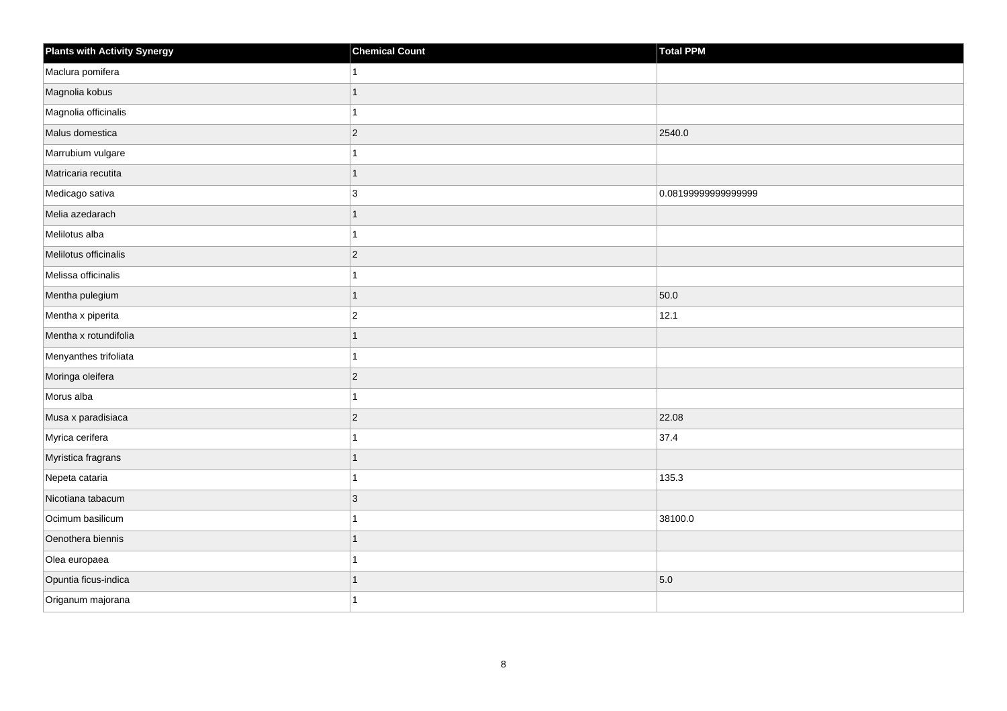| <b>Plants with Activity Synergy</b> | <b>Chemical Count</b>    | Total PPM           |
|-------------------------------------|--------------------------|---------------------|
| Maclura pomifera                    |                          |                     |
| Magnolia kobus                      | $\overline{\phantom{a}}$ |                     |
| Magnolia officinalis                | 4                        |                     |
| Malus domestica                     | $\overline{2}$           | 2540.0              |
| Marrubium vulgare                   |                          |                     |
| Matricaria recutita                 | 1                        |                     |
| Medicago sativa                     | 3                        | 0.08199999999999999 |
| Melia azedarach                     | 1                        |                     |
| Melilotus alba                      |                          |                     |
| Melilotus officinalis               | $\overline{2}$           |                     |
| Melissa officinalis                 |                          |                     |
| Mentha pulegium                     | 1                        | 50.0                |
| Mentha x piperita                   | $\overline{2}$           | 12.1                |
| Mentha x rotundifolia               | 1                        |                     |
| Menyanthes trifoliata               |                          |                     |
| Moringa oleifera                    | $\overline{a}$           |                     |
| Morus alba                          |                          |                     |
| Musa x paradisiaca                  | $\overline{2}$           | 22.08               |
| Myrica cerifera                     | $\overline{1}$           | 37.4                |
| Myristica fragrans                  | 1                        |                     |
| Nepeta cataria                      |                          | 135.3               |
| Nicotiana tabacum                   | 3                        |                     |
| Ocimum basilicum                    |                          | 38100.0             |
| Oenothera biennis                   | 1                        |                     |
| Olea europaea                       | 1                        |                     |
| Opuntia ficus-indica                |                          | 5.0                 |
| Origanum majorana                   |                          |                     |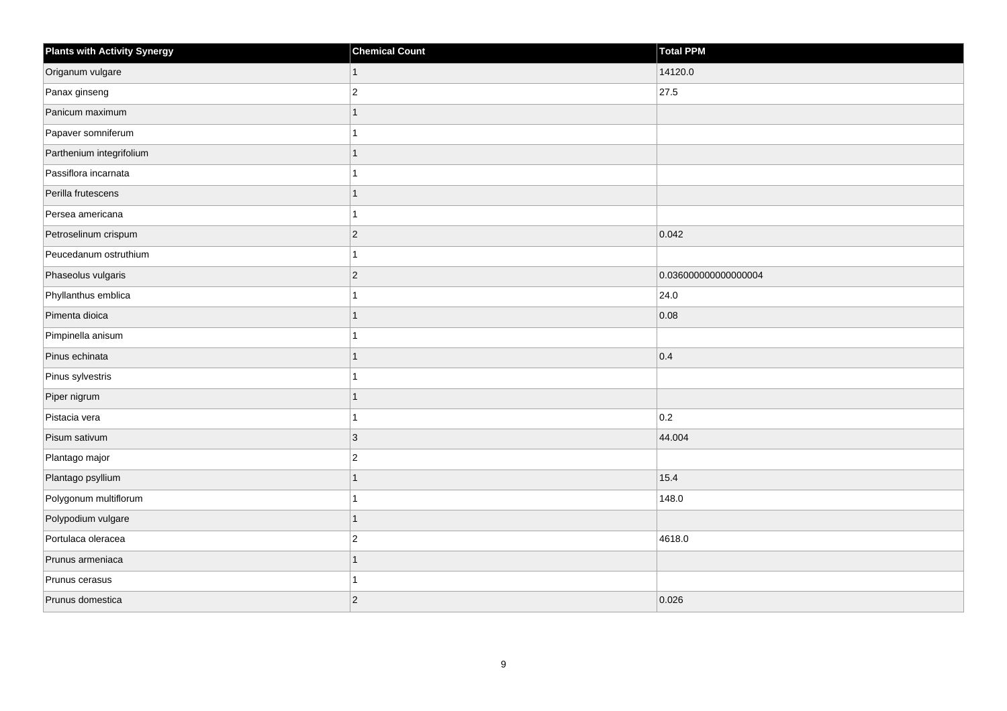| <b>Plants with Activity Synergy</b> | <b>Chemical Count</b> | Total PPM            |
|-------------------------------------|-----------------------|----------------------|
| Origanum vulgare                    | 1                     | 14120.0              |
| Panax ginseng                       | $\overline{c}$        | 27.5                 |
| Panicum maximum                     |                       |                      |
| Papaver somniferum                  |                       |                      |
| Parthenium integrifolium            |                       |                      |
| Passiflora incarnata                |                       |                      |
| Perilla frutescens                  |                       |                      |
| Persea americana                    |                       |                      |
| Petroselinum crispum                | $\overline{2}$        | 0.042                |
| Peucedanum ostruthium               |                       |                      |
| Phaseolus vulgaris                  | $\overline{2}$        | 0.036000000000000004 |
| Phyllanthus emblica                 |                       | 24.0                 |
| Pimenta dioica                      | 1                     | 0.08                 |
| Pimpinella anisum                   |                       |                      |
| Pinus echinata                      |                       | 0.4                  |
| Pinus sylvestris                    |                       |                      |
| Piper nigrum                        |                       |                      |
| Pistacia vera                       |                       | 0.2                  |
| Pisum sativum                       | 3                     | 44.004               |
| Plantago major                      | $\overline{2}$        |                      |
| Plantago psyllium                   |                       | 15.4                 |
| Polygonum multiflorum               |                       | 148.0                |
| Polypodium vulgare                  |                       |                      |
| Portulaca oleracea                  | $\overline{c}$        | 4618.0               |
| Prunus armeniaca                    | 1                     |                      |
| Prunus cerasus                      |                       |                      |
| Prunus domestica                    | $\overline{2}$        | 0.026                |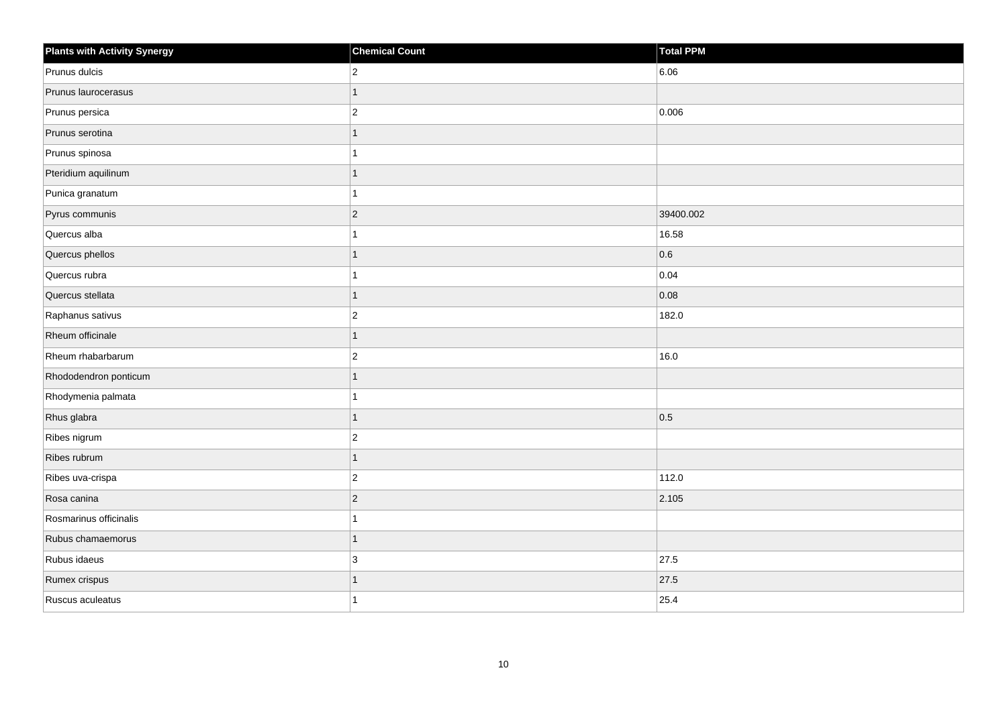| <b>Plants with Activity Synergy</b> | <b>Chemical Count</b> | Total PPM |
|-------------------------------------|-----------------------|-----------|
| Prunus dulcis                       | $\overline{2}$        | 6.06      |
| Prunus laurocerasus                 | $\mathbf{1}$          |           |
| Prunus persica                      | $\vert$ 2             | 0.006     |
| Prunus serotina                     | $\overline{1}$        |           |
| Prunus spinosa                      | 1                     |           |
| Pteridium aquilinum                 | $\mathbf{1}$          |           |
| Punica granatum                     | $\mathbf{1}$          |           |
| Pyrus communis                      | $ 2\rangle$           | 39400.002 |
| Quercus alba                        | $\mathbf{1}$          | 16.58     |
| Quercus phellos                     | 1                     | 0.6       |
| Quercus rubra                       | 1                     | 0.04      |
| Quercus stellata                    | $\mathbf{1}$          | 0.08      |
| Raphanus sativus                    | $ 2\rangle$           | 182.0     |
| Rheum officinale                    | $\mathbf{1}$          |           |
| Rheum rhabarbarum                   | $ 2\rangle$           | 16.0      |
| Rhododendron ponticum               | $\overline{1}$        |           |
| Rhodymenia palmata                  | 1                     |           |
| Rhus glabra                         | 1                     | 0.5       |
| Ribes nigrum                        | $ 2\rangle$           |           |
| Ribes rubrum                        | $\mathbf{1}$          |           |
| Ribes uva-crispa                    | $ 2\rangle$           | 112.0     |
| Rosa canina                         | $ 2\rangle$           | 2.105     |
| Rosmarinus officinalis              | 1                     |           |
| Rubus chamaemorus                   | $\mathbf{1}$          |           |
| Rubus idaeus                        | 3                     | 27.5      |
| Rumex crispus                       | 1                     | 27.5      |
| Ruscus aculeatus                    | 1                     | 25.4      |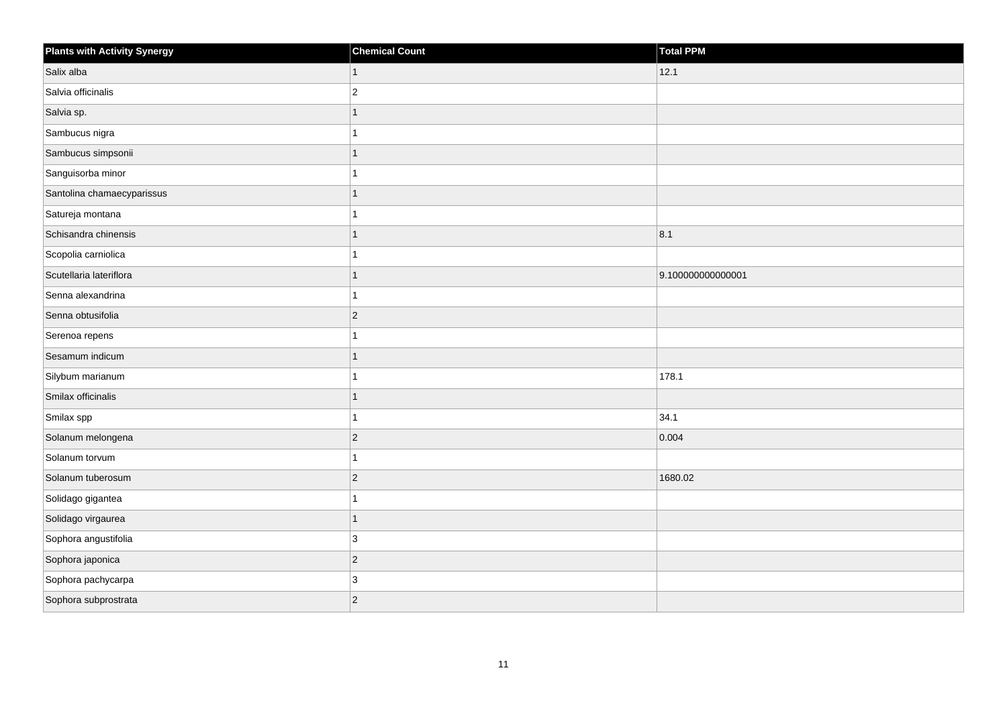| <b>Plants with Activity Synergy</b> | <b>Chemical Count</b> | Total PPM         |
|-------------------------------------|-----------------------|-------------------|
| Salix alba                          | 1                     | 12.1              |
| Salvia officinalis                  | $\overline{c}$        |                   |
| Salvia sp.                          |                       |                   |
| Sambucus nigra                      |                       |                   |
| Sambucus simpsonii                  |                       |                   |
| Sanguisorba minor                   |                       |                   |
| Santolina chamaecyparissus          |                       |                   |
| Satureja montana                    |                       |                   |
| Schisandra chinensis                |                       | 8.1               |
| Scopolia carniolica                 |                       |                   |
| Scutellaria lateriflora             |                       | 9.100000000000001 |
| Senna alexandrina                   |                       |                   |
| Senna obtusifolia                   | $ 2\rangle$           |                   |
| Serenoa repens                      |                       |                   |
| Sesamum indicum                     |                       |                   |
| Silybum marianum                    |                       | 178.1             |
| Smilax officinalis                  |                       |                   |
| Smilax spp                          |                       | 34.1              |
| Solanum melongena                   | $ 2\rangle$           | 0.004             |
| Solanum torvum                      |                       |                   |
| Solanum tuberosum                   | $ 2\rangle$           | 1680.02           |
| Solidago gigantea                   |                       |                   |
| Solidago virgaurea                  |                       |                   |
| Sophora angustifolia                | $\mathbf{3}$          |                   |
| Sophora japonica                    | $ 2\rangle$           |                   |
| Sophora pachycarpa                  | 3                     |                   |
| Sophora subprostrata                | $ 2\rangle$           |                   |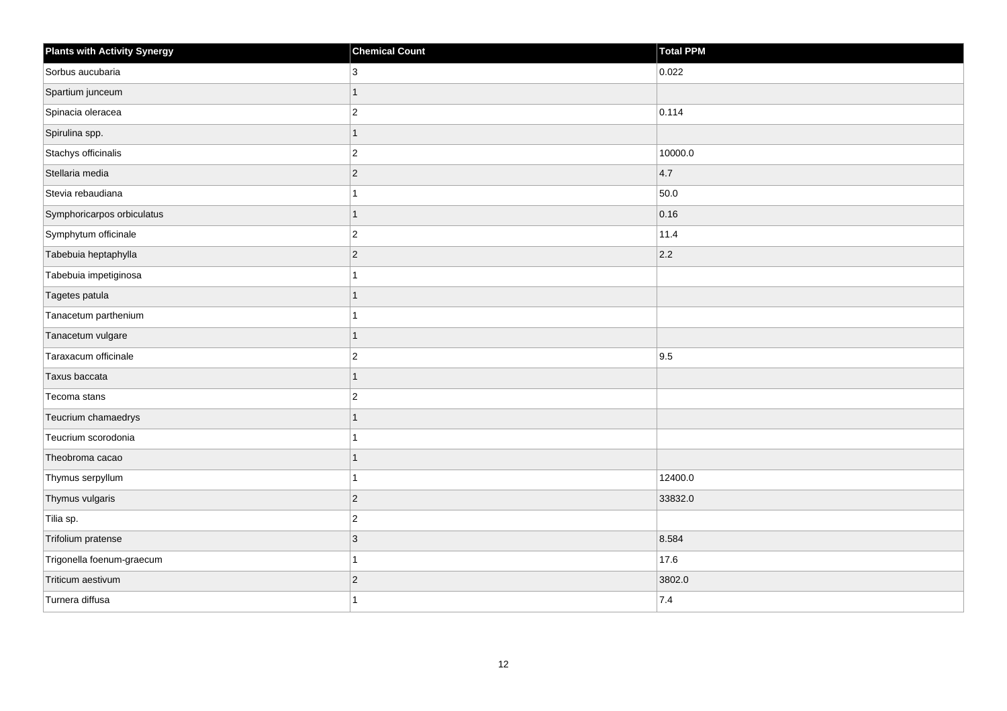| <b>Plants with Activity Synergy</b> | <b>Chemical Count</b> | Total PPM |
|-------------------------------------|-----------------------|-----------|
| Sorbus aucubaria                    | 3                     | 0.022     |
| Spartium junceum                    | 1                     |           |
| Spinacia oleracea                   | $\overline{c}$        | 0.114     |
| Spirulina spp.                      | $\mathbf{1}$          |           |
| Stachys officinalis                 | $\overline{2}$        | 10000.0   |
| Stellaria media                     | $ 2\rangle$           | 4.7       |
| Stevia rebaudiana                   | 1                     | 50.0      |
| Symphoricarpos orbiculatus          | 1                     | 0.16      |
| Symphytum officinale                | $\vert$ 2             | 11.4      |
| Tabebuia heptaphylla                | $ 2\rangle$           | 2.2       |
| Tabebuia impetiginosa               | 1                     |           |
| Tagetes patula                      | 1                     |           |
| Tanacetum parthenium                | 1                     |           |
| Tanacetum vulgare                   | 1                     |           |
| Taraxacum officinale                | $\boldsymbol{2}$      | 9.5       |
| Taxus baccata                       | 1                     |           |
| Tecoma stans                        | $\overline{c}$        |           |
| Teucrium chamaedrys                 | 1                     |           |
| Teucrium scorodonia                 | 1                     |           |
| Theobroma cacao                     | 1                     |           |
| Thymus serpyllum                    | 1                     | 12400.0   |
| Thymus vulgaris                     | $\vert$ 2             | 33832.0   |
| Tilia sp.                           | $\overline{2}$        |           |
| Trifolium pratense                  | 3                     | 8.584     |
| Trigonella foenum-graecum           | 1                     | 17.6      |
| Triticum aestivum                   | $\sqrt{2}$            | 3802.0    |
| Turnera diffusa                     | 1                     | 7.4       |